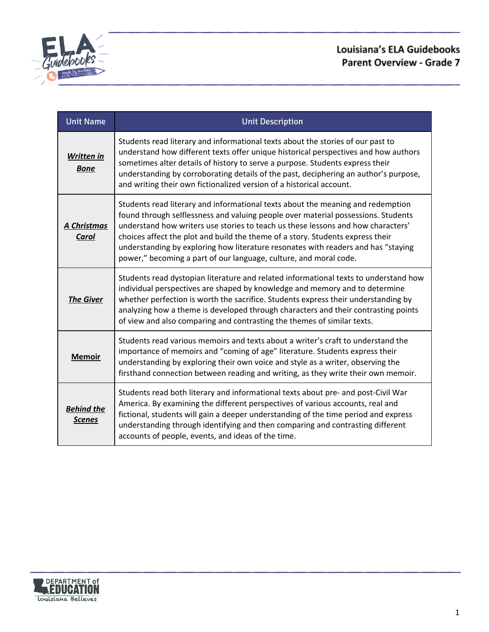

| <b>Unit Name</b>                   | <b>Unit Description</b>                                                                                                                                                                                                                                                                                                                                                                                                                                                                              |
|------------------------------------|------------------------------------------------------------------------------------------------------------------------------------------------------------------------------------------------------------------------------------------------------------------------------------------------------------------------------------------------------------------------------------------------------------------------------------------------------------------------------------------------------|
| Written in<br><b>Bone</b>          | Students read literary and informational texts about the stories of our past to<br>understand how different texts offer unique historical perspectives and how authors<br>sometimes alter details of history to serve a purpose. Students express their<br>understanding by corroborating details of the past, deciphering an author's purpose,<br>and writing their own fictionalized version of a historical account.                                                                              |
| A Christmas<br>Carol               | Students read literary and informational texts about the meaning and redemption<br>found through selflessness and valuing people over material possessions. Students<br>understand how writers use stories to teach us these lessons and how characters'<br>choices affect the plot and build the theme of a story. Students express their<br>understanding by exploring how literature resonates with readers and has "staying<br>power," becoming a part of our language, culture, and moral code. |
| <b>The Giver</b>                   | Students read dystopian literature and related informational texts to understand how<br>individual perspectives are shaped by knowledge and memory and to determine<br>whether perfection is worth the sacrifice. Students express their understanding by<br>analyzing how a theme is developed through characters and their contrasting points<br>of view and also comparing and contrasting the themes of similar texts.                                                                           |
| <b>Memoir</b>                      | Students read various memoirs and texts about a writer's craft to understand the<br>importance of memoirs and "coming of age" literature. Students express their<br>understanding by exploring their own voice and style as a writer, observing the<br>firsthand connection between reading and writing, as they write their own memoir.                                                                                                                                                             |
| <b>Behind the</b><br><b>Scenes</b> | Students read both literary and informational texts about pre- and post-Civil War<br>America. By examining the different perspectives of various accounts, real and<br>fictional, students will gain a deeper understanding of the time period and express<br>understanding through identifying and then comparing and contrasting different<br>accounts of people, events, and ideas of the time.                                                                                                   |

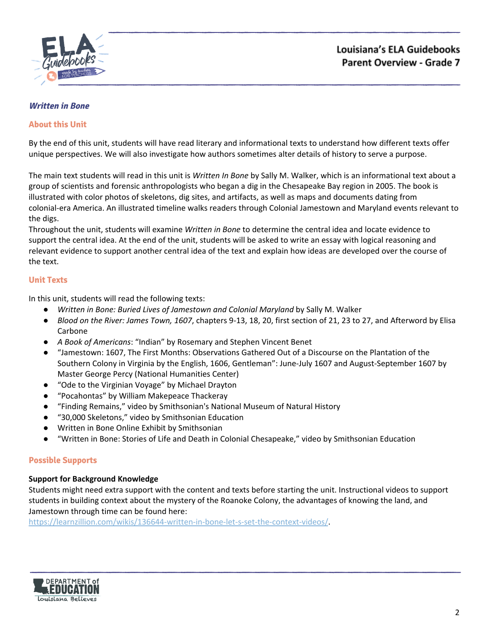

# <span id="page-1-0"></span>**Written in Bone**

## **About this Unit**

By the end of this unit, students will have read literary and informational texts to understand how different texts offer unique perspectives. We will also investigate how authors sometimes alter details of history to serve a purpose.

The main text students will read in this unit is *Written In Bone* by Sally M. Walker, which is an informational text about a group of scientists and forensic anthropologists who began a dig in the Chesapeake Bay region in 2005. The book is illustrated with color photos of skeletons, dig sites, and artifacts, as well as maps and documents dating from colonial-era America. An illustrated timeline walks readers through Colonial Jamestown and Maryland events relevant to the digs.

Throughout the unit, students will examine *Written in Bone* to determine the central idea and locate evidence to support the central idea. At the end of the unit, students will be asked to write an essay with logical reasoning and relevant evidence to support another central idea of the text and explain how ideas are developed over the course of the text.

## **Unit Texts**

In this unit, students will read the following texts:

- *Written in Bone: Buried Lives of Jamestown and Colonial Maryland* by Sally M. Walker
- *Blood on the River: James Town, 1607*, chapters 9-13, 18, 20, first section of 21, 23 to 27, and Afterword by Elisa Carbone
- *A Book of Americans*: "Indian" by Rosemary and Stephen Vincent Benet
- "Jamestown: 1607, The First Months: Observations Gathered Out of a Discourse on the Plantation of the Southern Colony in Virginia by the English, 1606, Gentleman": June-July 1607 and August-September 1607 by Master George Percy (National Humanities Center)
- "Ode to the Virginian Voyage" by Michael Drayton
- "Pocahontas" by William Makepeace Thackeray
- "Finding Remains," video by Smithsonian's National Museum of Natural History
- "30,000 Skeletons," video by Smithsonian Education
- Written in Bone Online Exhibit by Smithsonian
- "Written in Bone: Stories of Life and Death in Colonial Chesapeake," video by Smithsonian Education

# **Possible Supports**

#### **Support for Background Knowledge**

Students might need extra support with the content and texts before starting the unit. Instructional videos to support students in building context about the mystery of the Roanoke Colony, the advantages of knowing the land, and Jamestown through time can be found here:

<https://learnzillion.com/wikis/136644-written-in-bone-let-s-set-the-context-videos/>.

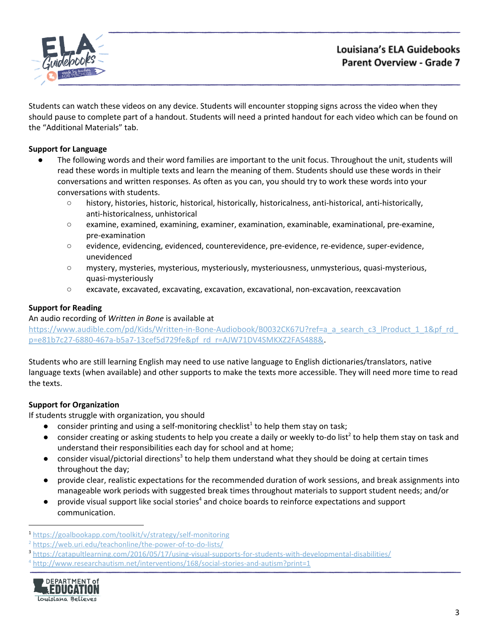

Students can watch these videos on any device. Students will encounter stopping signs across the video when they should pause to complete part of a handout. Students will need a printed handout for each video which can be found on the "Additional Materials" tab.

# **Support for Language**

- The following words and their word families are important to the unit focus. Throughout the unit, students will read these words in multiple texts and learn the meaning of them. Students should use these words in their conversations and written responses. As often as you can, you should try to work these words into your conversations with students.
	- history, histories, historic, historical, historically, historicalness, anti-historical, anti-historically, anti-historicalness, unhistorical
	- examine, examined, examining, examiner, examination, examinable, examinational, pre-examine, pre-examination
	- evidence, evidencing, evidenced, counterevidence, pre-evidence, re-evidence, super-evidence, unevidenced
	- mystery, mysteries, mysterious, mysteriously, mysteriousness, unmysterious, quasi-mysterious, quasi-mysteriously
	- excavate, excavated, excavating, excavation, excavational, non-excavation, reexcavation

# **Support for Reading**

An audio recording of *Written in Bone* is available at

[https://www.audible.com/pd/Kids/Written-in-Bone-Audiobook/B0032CK67U?ref=a\\_a\\_search\\_c3\\_lProduct\\_1\\_1&pf\\_rd\\_](https://www.audible.com/pd/Kids/Written-in-Bone-Audiobook/B0032CK67U?ref=a_a_search_c3_lProduct_1_1&pf_rd_p=e81b7c27-6880-467a-b5a7-13cef5d729fe&pf_rd_r=AJW71DV4SMKXZ2FAS488&) [p=e81b7c27-6880-467a-b5a7-13cef5d729fe&pf\\_rd\\_r=AJW71DV4SMKXZ2FAS488&.](https://www.audible.com/pd/Kids/Written-in-Bone-Audiobook/B0032CK67U?ref=a_a_search_c3_lProduct_1_1&pf_rd_p=e81b7c27-6880-467a-b5a7-13cef5d729fe&pf_rd_r=AJW71DV4SMKXZ2FAS488&)

Students who are still learning English may need to use native language to English dictionaries/translators, native language texts (when available) and other supports to make the texts more accessible. They will need more time to read the texts.

# **Support for Organization**

If students struggle with organization, you should

- $\bullet$  consider printing and using a self-monitoring checklist<sup>1</sup> to help them stay on task;
- $\bullet$  consider creating or asking students to help you create a daily or weekly to-do list<sup>2</sup> to help them stay on task and understand their responsibilities each day for school and at home;
- $\bullet$  consider visual/pictorial directions<sup>3</sup> to help them understand what they should be doing at certain times throughout the day;
- provide clear, realistic expectations for the recommended duration of work sessions, and break assignments into manageable work periods with suggested break times throughout materials to support student needs; and/or
- $\bullet$  provide visual support like social stories<sup>4</sup> and choice boards to reinforce expectations and support communication.

<sup>4</sup> <http://www.researchautism.net/interventions/168/social-stories-and-autism?print=1>



<sup>1</sup> <https://goalbookapp.com/toolkit/v/strategy/self-monitoring>

<sup>&</sup>lt;sup>2</sup> <https://web.uri.edu/teachonline/the-power-of-to-do-lists/>

<sup>3</sup> <https://catapultlearning.com/2016/05/17/using-visual-supports-for-students-with-developmental-disabilities/>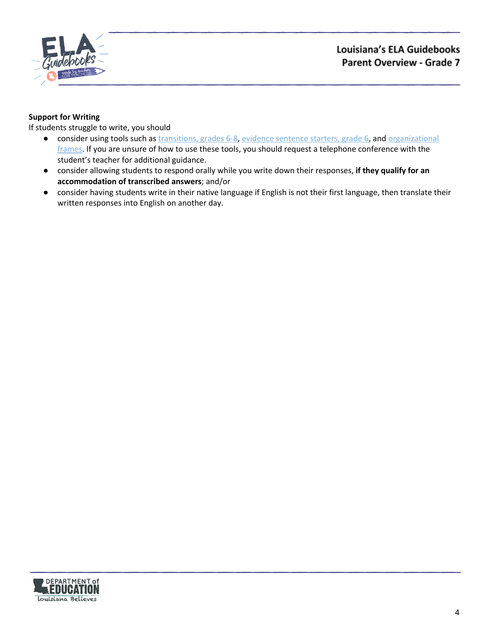

# **Support for Writing**

- consider using tools such as [transitions,](https://learnzillion.com/resources/157893/) grades 6-8, evidence [sentence](https://learnzillion.com/resources/157866/) starters, grade 6, and [organizational](https://learnzillion.com/resources/116858/) [frames](https://learnzillion.com/resources/116858/). If you are unsure of how to use these tools, you should request a telephone conference with the student's teacher for additional guidance.
- consider allowing students to respond orally while you write down their responses, **if they qualify for an accommodation of transcribed answers**; and/or
- **●** consider having students write in their native language if English is not their first language, then translate their written responses into English on another day.

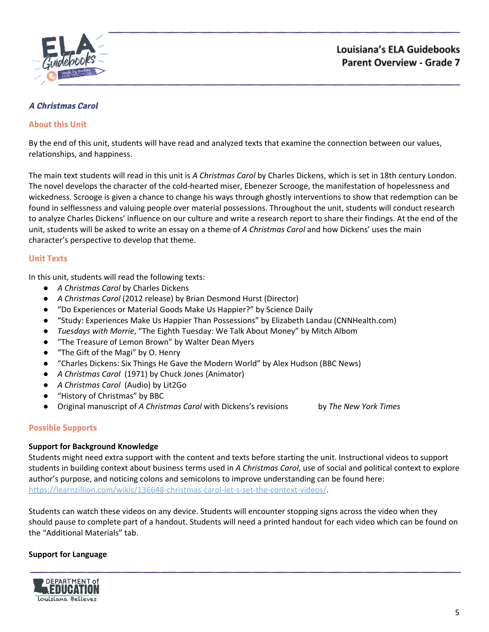

# <span id="page-4-0"></span>**A Christmas Carol**

# **About this Unit**

By the end of this unit, students will have read and analyzed texts that examine the connection between our values, relationships, and happiness.

The main text students will read in this unit is *A Christmas Carol* by Charles Dickens, which is set in 18th century London. The novel develops the character of the cold-hearted miser, Ebenezer Scrooge, the manifestation of hopelessness and wickedness. Scrooge is given a chance to change his ways through ghostly interventions to show that redemption can be found in selflessness and valuing people over material possessions. Throughout the unit, students will conduct research to analyze Charles Dickens' influence on our culture and write a research report to share their findings. At the end of the unit, students will be asked to write an essay on a theme of *A Christmas Carol* and how Dickens' uses the main character's perspective to develop that theme.

## **Unit Texts**

In this unit, students will read the following texts:

- *A Christmas Carol* by Charles Dickens
- *A Christmas Carol* (2012 release) by Brian Desmond Hurst (Director)
- "Do Experiences or Material Goods Make Us Happier?" by Science Daily
- "Study: Experiences Make Us Happier Than Possessions" by Elizabeth Landau (CNNHealth.com)
- *Tuesdays with Morrie*, "The Eighth Tuesday: We Talk About Money" by Mitch Albom
- "The Treasure of Lemon Brown" by Walter Dean Myers
- "The Gift of the Magi" by O. Henry
- "Charles Dickens: Six Things He Gave the Modern World" by Alex Hudson (BBC News)
- *A Christmas Carol* (1971) by Chuck Jones (Animator)
- *A Christmas Carol* (Audio) by Lit2Go
- "History of Christmas" by BBC
- Original manuscript of *A Christmas Carol* with Dickens's revisions by *The New York Times*

#### **Possible Supports**

#### **Support for Background Knowledge**

Students might need extra support with the content and texts before starting the unit. Instructional videos to support students in building context about business terms used in *A Christmas Carol*, use of social and political context to explore author's purpose, and noticing colons and semicolons to improve understanding can be found here: [https://learnzillion.com/wikis/136648-christmas-carol-let-s-set-the-context-videos/.](https://learnzillion.com/wikis/136648-christmas-carol-let-s-set-the-context-videos/)

Students can watch these videos on any device. Students will encounter stopping signs across the video when they should pause to complete part of a handout. Students will need a printed handout for each video which can be found on the "Additional Materials" tab.

#### **Support for Language**

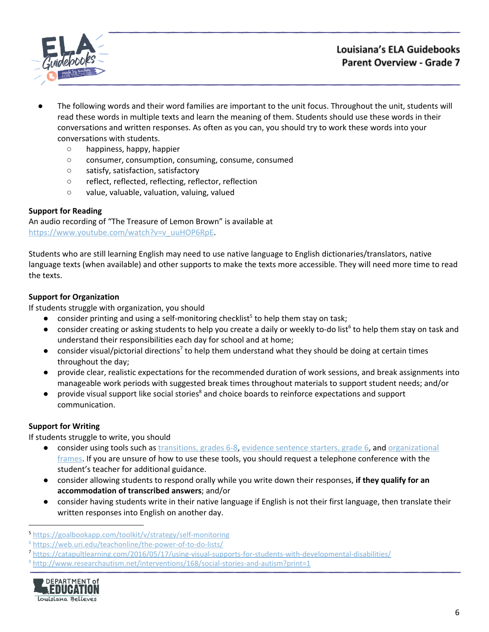

- The following words and their word families are important to the unit focus. Throughout the unit, students will read these words in multiple texts and learn the meaning of them. Students should use these words in their conversations and written responses. As often as you can, you should try to work these words into your conversations with students.
	- happiness, happy, happier
	- consumer, consumption, consuming, consume, consumed
	- satisfy, satisfaction, satisfactory
	- reflect, reflected, reflecting, reflector, reflection
	- value, valuable, valuation, valuing, valued

# **Support for Reading**

An audio recording of "The Treasure of Lemon Brown" is available at [https://www.youtube.com/watch?v=v\\_uuHOP6RpE.](https://www.youtube.com/watch?v=v_uuHOP6RpE)

Students who are still learning English may need to use native language to English dictionaries/translators, native language texts (when available) and other supports to make the texts more accessible. They will need more time to read the texts.

# **Support for Organization**

If students struggle with organization, you should

- $\bullet$  consider printing and using a self-monitoring checklist<sup>5</sup> to help them stay on task;
- $\bullet$  consider creating or asking students to help you create a daily or weekly to-do list<sup>6</sup> to help them stay on task and understand their responsibilities each day for school and at home;
- $\bullet$  consider visual/pictorial directions<sup>7</sup> to help them understand what they should be doing at certain times throughout the day;
- provide clear, realistic expectations for the recommended duration of work sessions, and break assignments into manageable work periods with suggested break times throughout materials to support student needs; and/or
- provide visual support like social stories<sup>8</sup> and choice boards to reinforce expectations and support communication.

# **Support for Writing**

- consider using tools such as [transitions,](https://learnzillion.com/resources/157893/) grades 6-8, evidence [sentence](https://learnzillion.com/resources/157866/) starters, grade 6, and [organizational](https://learnzillion.com/resources/116858/) [frames](https://learnzillion.com/resources/116858/). If you are unsure of how to use these tools, you should request a telephone conference with the student's teacher for additional guidance.
- consider allowing students to respond orally while you write down their responses, **if they qualify for an accommodation of transcribed answers**; and/or
- **●** consider having students write in their native language if English is not their first language, then translate their written responses into English on another day.

<sup>8</sup> <http://www.researchautism.net/interventions/168/social-stories-and-autism?print=1>



<sup>5</sup> <https://goalbookapp.com/toolkit/v/strategy/self-monitoring>

<sup>6</sup> <https://web.uri.edu/teachonline/the-power-of-to-do-lists/>

<sup>7</sup> <https://catapultlearning.com/2016/05/17/using-visual-supports-for-students-with-developmental-disabilities/>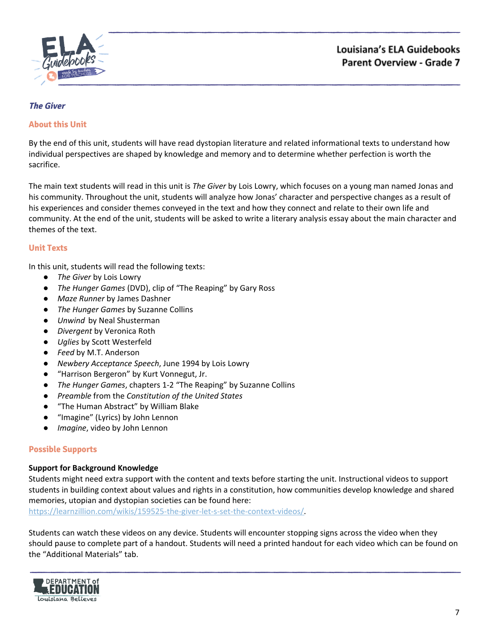

# <span id="page-6-0"></span>**The Giver**

## **About this Unit**

By the end of this unit, students will have read dystopian literature and related informational texts to understand how individual perspectives are shaped by knowledge and memory and to determine whether perfection is worth the sacrifice.

The main text students will read in this unit is *The Giver* by Lois Lowry, which focuses on a young man named Jonas and his community. Throughout the unit, students will analyze how Jonas' character and perspective changes as a result of his experiences and consider themes conveyed in the text and how they connect and relate to their own life and community. At the end of the unit, students will be asked to write a literary analysis essay about the main character and themes of the text.

## **Unit Texts**

In this unit, students will read the following texts:

- *The Giver* by Lois Lowry
- *The Hunger Games* (DVD), clip of "The Reaping" by Gary Ross
- *Maze Runner* by James Dashner
- *The Hunger Games* by Suzanne Collins
- *Unwind* by Neal Shusterman
- *Divergent* by Veronica Roth
- *Uglies* by Scott Westerfeld
- *Feed* by M.T. Anderson
- *Newbery Acceptance Speech*, June 1994 by Lois Lowry
- "Harrison Bergeron" by Kurt Vonnegut, Jr.
- *The Hunger Games*, chapters 1-2 "The Reaping" by Suzanne Collins
- *Preamble* from the *Constitution of the United States*
- "The Human Abstract" by William Blake
- "Imagine" (Lyrics) by John Lennon
- *Imagine*, video by John Lennon

#### **Possible Supports**

#### **Support for Background Knowledge**

Students might need extra support with the content and texts before starting the unit. Instructional videos to support students in building context about values and rights in a constitution, how communities develop knowledge and shared memories, utopian and dystopian societies can be found here:

[https://learnzillion.com/wikis/159525-the-giver-let-s-set-the-context-videos/.](https://learnzillion.com/wikis/159525-the-giver-let-s-set-the-context-videos/)

Students can watch these videos on any device. Students will encounter stopping signs across the video when they should pause to complete part of a handout. Students will need a printed handout for each video which can be found on the "Additional Materials" tab.

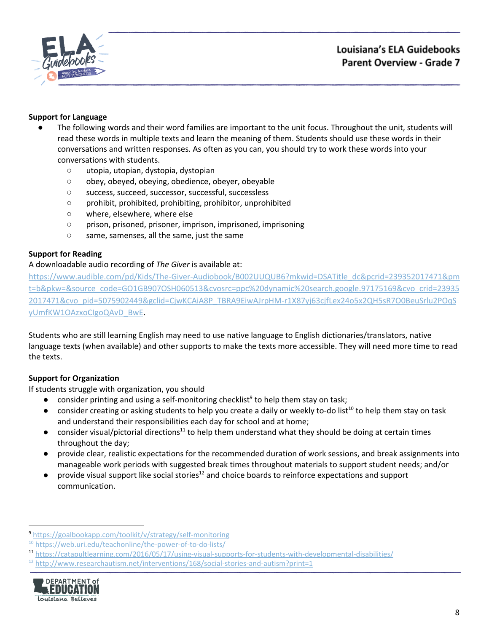

# **Support for Language**

- The following words and their word families are important to the unit focus. Throughout the unit, students will read these words in multiple texts and learn the meaning of them. Students should use these words in their conversations and written responses. As often as you can, you should try to work these words into your conversations with students.
	- utopia, utopian, dystopia, dystopian
	- obey, obeyed, obeying, obedience, obeyer, obeyable
	- success, succeed, successor, successful, successless
	- prohibit, prohibited, prohibiting, prohibitor, unprohibited
	- where, elsewhere, where else
	- prison, prisoned, prisoner, imprison, imprisoned, imprisoning
	- same, samenses, all the same, just the same

## **Support for Reading**

#### A downloadable audio recording of *The Giver* is available at:

[https://www.audible.com/pd/Kids/The-Giver-Audiobook/B002UUQUB6?mkwid=DSATitle\\_dc&pcrid=239352017471&pm](https://www.audible.com/pd/Kids/The-Giver-Audiobook/B002UUQUB6?mkwid=DSATitle_dc&pcrid=239352017471&pmt=b&pkw=&source_code=GO1GB907OSH060513&cvosrc=ppc%20dynamic%20search.google.97175169&cvo_crid=239352017471&cvo_pid=5075902449&gclid=CjwKCAiA8P_TBRA9EiwAJrpHM-r1X87yj63cjfLex24o5x2QH5sR7O0BeuSrlu2POqSyUmfKW1OAzxoCIgoQAvD_BwE) [t=b&pkw=&source\\_code=GO1GB907OSH060513&cvosrc=ppc%20dynamic%20search.google.97175169&cvo\\_crid=23935](https://www.audible.com/pd/Kids/The-Giver-Audiobook/B002UUQUB6?mkwid=DSATitle_dc&pcrid=239352017471&pmt=b&pkw=&source_code=GO1GB907OSH060513&cvosrc=ppc%20dynamic%20search.google.97175169&cvo_crid=239352017471&cvo_pid=5075902449&gclid=CjwKCAiA8P_TBRA9EiwAJrpHM-r1X87yj63cjfLex24o5x2QH5sR7O0BeuSrlu2POqSyUmfKW1OAzxoCIgoQAvD_BwE) [2017471&cvo\\_pid=5075902449&gclid=CjwKCAiA8P\\_TBRA9EiwAJrpHM-r1X87yj63cjfLex24o5x2QH5sR7O0BeuSrlu2POqS](https://www.audible.com/pd/Kids/The-Giver-Audiobook/B002UUQUB6?mkwid=DSATitle_dc&pcrid=239352017471&pmt=b&pkw=&source_code=GO1GB907OSH060513&cvosrc=ppc%20dynamic%20search.google.97175169&cvo_crid=239352017471&cvo_pid=5075902449&gclid=CjwKCAiA8P_TBRA9EiwAJrpHM-r1X87yj63cjfLex24o5x2QH5sR7O0BeuSrlu2POqSyUmfKW1OAzxoCIgoQAvD_BwE) [yUmfKW1OAzxoCIgoQAvD\\_BwE](https://www.audible.com/pd/Kids/The-Giver-Audiobook/B002UUQUB6?mkwid=DSATitle_dc&pcrid=239352017471&pmt=b&pkw=&source_code=GO1GB907OSH060513&cvosrc=ppc%20dynamic%20search.google.97175169&cvo_crid=239352017471&cvo_pid=5075902449&gclid=CjwKCAiA8P_TBRA9EiwAJrpHM-r1X87yj63cjfLex24o5x2QH5sR7O0BeuSrlu2POqSyUmfKW1OAzxoCIgoQAvD_BwE).

Students who are still learning English may need to use native language to English dictionaries/translators, native language texts (when available) and other supports to make the texts more accessible. They will need more time to read the texts.

# **Support for Organization**

If students struggle with organization, you should

- $\bullet$  consider printing and using a self-monitoring checklist<sup>9</sup> to help them stay on task;
- $\bullet$  consider creating or asking students to help you create a daily or weekly to-do list<sup>10</sup> to help them stay on task and understand their responsibilities each day for school and at home;
- consider visual/pictorial directions<sup>11</sup> to help them understand what they should be doing at certain times throughout the day;
- provide clear, realistic expectations for the recommended duration of work sessions, and break assignments into manageable work periods with suggested break times throughout materials to support student needs; and/or
- $\bullet$  provide visual support like social stories<sup>12</sup> and choice boards to reinforce expectations and support communication.

 $12$  <http://www.researchautism.net/interventions/168/social-stories-and-autism?print=1>



<sup>9</sup> <https://goalbookapp.com/toolkit/v/strategy/self-monitoring>

<sup>&</sup>lt;sup>10</sup> <https://web.uri.edu/teachonline/the-power-of-to-do-lists/>

<sup>11</sup> <https://catapultlearning.com/2016/05/17/using-visual-supports-for-students-with-developmental-disabilities/>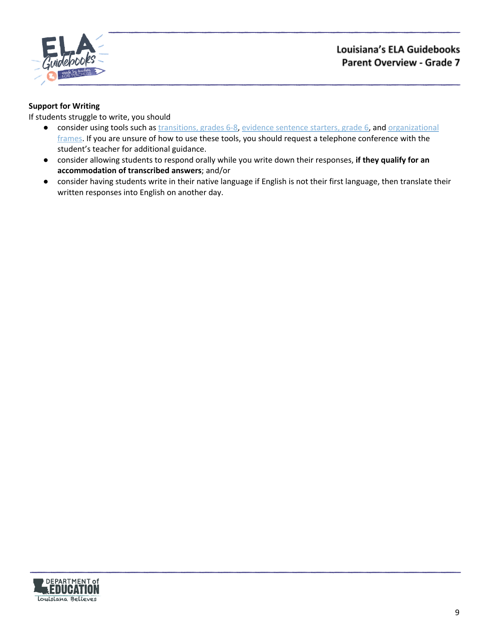

# **Support for Writing**

- consider using tools such as [transitions,](https://learnzillion.com/resources/157893/) grades 6-8, evidence [sentence](https://learnzillion.com/resources/157866/) starters, grade 6, and [organizational](https://learnzillion.com/resources/116858/) [frames](https://learnzillion.com/resources/116858/). If you are unsure of how to use these tools, you should request a telephone conference with the student's teacher for additional guidance.
- consider allowing students to respond orally while you write down their responses, **if they qualify for an accommodation of transcribed answers**; and/or
- **●** consider having students write in their native language if English is not their first language, then translate their written responses into English on another day.

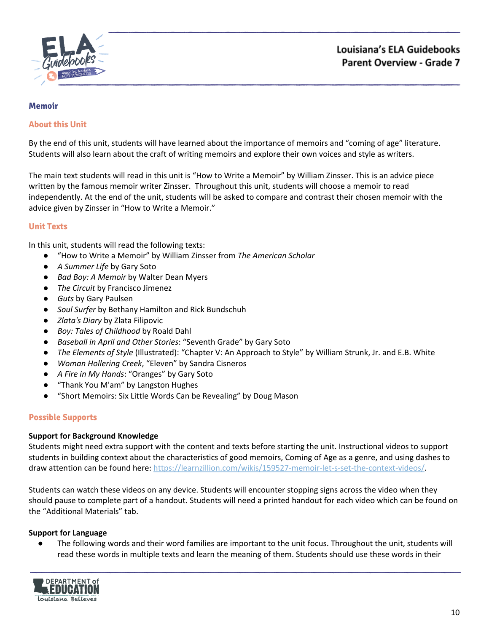

#### <span id="page-9-0"></span>**Memoir**

#### **About this Unit**

By the end of this unit, students will have learned about the importance of memoirs and "coming of age" literature. Students will also learn about the craft of writing memoirs and explore their own voices and style as writers.

The main text students will read in this unit is "How to Write a Memoir" by William Zinsser. This is an advice piece written by the famous memoir writer Zinsser. Throughout this unit, students will choose a memoir to read independently. At the end of the unit, students will be asked to compare and contrast their chosen memoir with the advice given by Zinsser in "How to Write a Memoir."

## **Unit Texts**

In this unit, students will read the following texts:

- "How to Write a Memoir" by William Zinsser from *The American Scholar*
- *A Summer Life* by Gary Soto
- *Bad Boy: A Memoir* by Walter Dean Myers
- *The Circuit* by Francisco Jimenez
- *Guts* by Gary Paulsen
- *Soul Surfer* by Bethany Hamilton and Rick Bundschuh
- *Zlata's Diary* by Zlata Filipovic
- *Boy: Tales of Childhood* by Roald Dahl
- *Baseball in April and Other Stories*: "Seventh Grade" by Gary Soto
- *The Elements of Style* (Illustrated): "Chapter V: An Approach to Style" by William Strunk, Jr. and E.B. White
- *Woman Hollering Creek*, "Eleven" by Sandra Cisneros
- *A Fire in My Hands*: "Oranges" by Gary Soto
- "Thank You M'am" by Langston Hughes
- "Short Memoirs: Six Little Words Can be Revealing" by Doug Mason

# **Possible Supports**

#### **Support for Background Knowledge**

Students might need extra support with the content and texts before starting the unit. Instructional videos to support students in building context about the characteristics of good memoirs, Coming of Age as a genre, and using dashes to draw attention can be found here: [https://learnzillion.com/wikis/159527-memoir-let-s-set-the-context-videos/.](https://learnzillion.com/wikis/159527-memoir-let-s-set-the-context-videos/)

Students can watch these videos on any device. Students will encounter stopping signs across the video when they should pause to complete part of a handout. Students will need a printed handout for each video which can be found on the "Additional Materials" tab.

#### **Support for Language**

● The following words and their word families are important to the unit focus. Throughout the unit, students will read these words in multiple texts and learn the meaning of them. Students should use these words in their

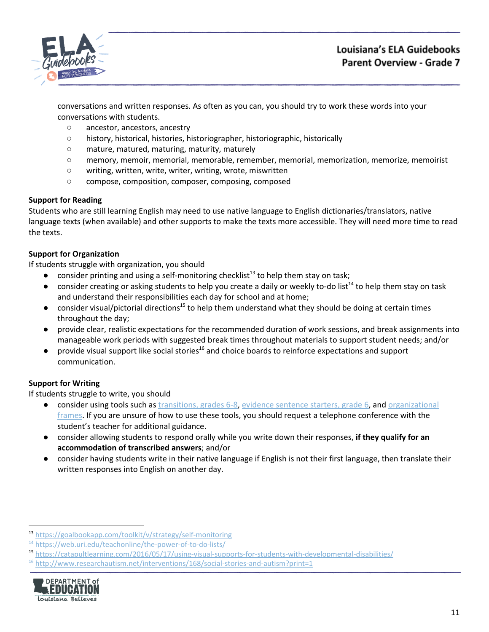

conversations and written responses. As often as you can, you should try to work these words into your conversations with students.

- ancestor, ancestors, ancestry
- history, historical, histories, historiographer, historiographic, historically
- mature, matured, maturing, maturity, maturely
- memory, memoir, memorial, memorable, remember, memorial, memorization, memorize, memoirist
- writing, written, write, writer, writing, wrote, miswritten
- compose, composition, composer, composing, composed

# **Support for Reading**

Students who are still learning English may need to use native language to English dictionaries/translators, native language texts (when available) and other supports to make the texts more accessible. They will need more time to read the texts.

# **Support for Organization**

If students struggle with organization, you should

- $\bullet$  consider printing and using a self-monitoring checklist<sup>13</sup> to help them stay on task;
- $\bullet$  consider creating or asking students to help you create a daily or weekly to-do list<sup>14</sup> to help them stay on task and understand their responsibilities each day for school and at home;
- $\bullet$  consider visual/pictorial directions<sup>15</sup> to help them understand what they should be doing at certain times throughout the day;
- provide clear, realistic expectations for the recommended duration of work sessions, and break assignments into manageable work periods with suggested break times throughout materials to support student needs; and/or
- $\bullet$  provide visual support like social stories<sup>16</sup> and choice boards to reinforce expectations and support communication.

# **Support for Writing**

- consider using tools such as [transitions,](https://learnzillion.com/resources/157893/) grades 6-8, evidence [sentence](https://learnzillion.com/resources/157866/) starters, grade 6, and [organizational](https://learnzillion.com/resources/116858/) [frames](https://learnzillion.com/resources/116858/). If you are unsure of how to use these tools, you should request a telephone conference with the student's teacher for additional guidance.
- consider allowing students to respond orally while you write down their responses, **if they qualify for an accommodation of transcribed answers**; and/or
- **●** consider having students write in their native language if English is not their first language, then translate their written responses into English on another day.

 $16$  <http://www.researchautism.net/interventions/168/social-stories-and-autism?print=1>



<sup>13</sup> <https://goalbookapp.com/toolkit/v/strategy/self-monitoring>

<sup>&</sup>lt;sup>14</sup> <https://web.uri.edu/teachonline/the-power-of-to-do-lists/>

<sup>15</sup> <https://catapultlearning.com/2016/05/17/using-visual-supports-for-students-with-developmental-disabilities/>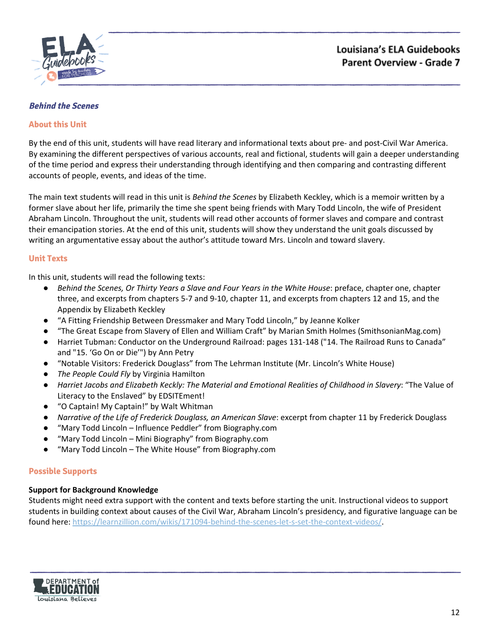

## <span id="page-11-0"></span>**Behind the Scenes**

## **About this Unit**

By the end of this unit, students will have read literary and informational texts about pre- and post-Civil War America. By examining the different perspectives of various accounts, real and fictional, students will gain a deeper understanding of the time period and express their understanding through identifying and then comparing and contrasting different accounts of people, events, and ideas of the time.

The main text students will read in this unit is *Behind the Scenes* by Elizabeth Keckley, which is a memoir written by a former slave about her life, primarily the time she spent being friends with Mary Todd Lincoln, the wife of President Abraham Lincoln. Throughout the unit, students will read other accounts of former slaves and compare and contrast their emancipation stories. At the end of this unit, students will show they understand the unit goals discussed by writing an argumentative essay about the author's attitude toward Mrs. Lincoln and toward slavery.

## **Unit Texts**

In this unit, students will read the following texts:

- *Behind the Scenes, Or Thirty Years a Slave and Four Years in the White House*: preface, chapter one, chapter three, and excerpts from chapters 5-7 and 9-10, chapter 11, and excerpts from chapters 12 and 15, and the Appendix by Elizabeth Keckley
- "A Fitting Friendship Between Dressmaker and Mary Todd Lincoln," by Jeanne Kolker
- "The Great Escape from Slavery of Ellen and William Craft" by Marian Smith Holmes (SmithsonianMag.com)
- Harriet Tubman: Conductor on the Underground Railroad: pages 131-148 ("14. The Railroad Runs to Canada" and "15. 'Go On or Die'") by Ann Petry
- "Notable Visitors: Frederick Douglass" from The Lehrman Institute (Mr. Lincoln's White House)
- *The People Could Fly* by Virginia Hamilton
- *Harriet Jacobs and Elizabeth Keckly: The Material and Emotional Realities of Childhood in Slavery*: "The Value of Literacy to the Enslaved" by EDSITEment!
- "O Captain! My Captain!" by Walt Whitman
- *Narrative of the Life of Frederick Douglass, an American Slave*: excerpt from chapter 11 by Frederick Douglass
- "Mary Todd Lincoln Influence Peddler" from Biography.com
- "Mary Todd Lincoln Mini Biography" from Biography.com
- "Mary Todd Lincoln The White House" from Biography.com

# **Possible Supports**

#### **Support for Background Knowledge**

Students might need extra support with the content and texts before starting the unit. Instructional videos to support students in building context about causes of the Civil War, Abraham Lincoln's presidency, and figurative language can be found here: <https://learnzillion.com/wikis/171094-behind-the-scenes-let-s-set-the-context-videos/>.

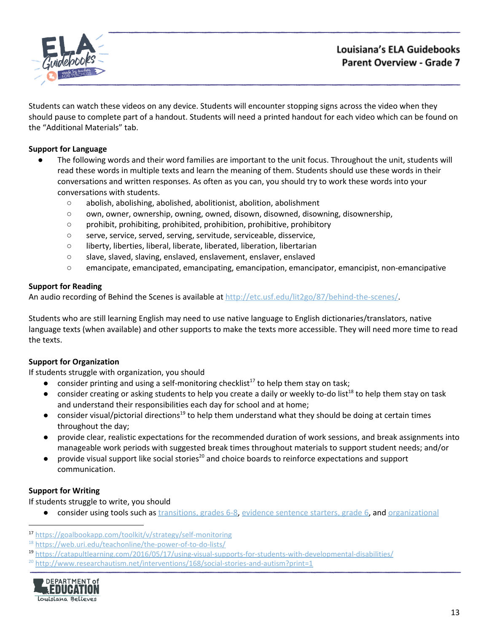

Students can watch these videos on any device. Students will encounter stopping signs across the video when they should pause to complete part of a handout. Students will need a printed handout for each video which can be found on the "Additional Materials" tab.

# **Support for Language**

- The following words and their word families are important to the unit focus. Throughout the unit, students will read these words in multiple texts and learn the meaning of them. Students should use these words in their conversations and written responses. As often as you can, you should try to work these words into your conversations with students.
	- abolish, abolishing, abolished, abolitionist, abolition, abolishment
	- own, owner, ownership, owning, owned, disown, disowned, disowning, disownership,
	- prohibit, prohibiting, prohibited, prohibition, prohibitive, prohibitory
	- serve, service, served, serving, servitude, serviceable, disservice,
	- liberty, liberties, liberal, liberate, liberated, liberation, libertarian
	- slave, slaved, slaving, enslaved, enslavement, enslaver, enslaved
	- emancipate, emancipated, emancipating, emancipation, emancipator, emancipist, non-emancipative

## **Support for Reading**

An audio recording of Behind the Scenes is available at [http://etc.usf.edu/lit2go/87/behind-the-scenes/.](http://etc.usf.edu/lit2go/87/behind-the-scenes/)

Students who are still learning English may need to use native language to English dictionaries/translators, native language texts (when available) and other supports to make the texts more accessible. They will need more time to read the texts.

# **Support for Organization**

If students struggle with organization, you should

- consider printing and using a self-monitoring checklist<sup>17</sup> to help them stay on task;
- consider creating or asking students to help you create a daily or weekly to-do list<sup>18</sup> to help them stay on task and understand their responsibilities each day for school and at home;
- $\bullet$  consider visual/pictorial directions<sup>19</sup> to help them understand what they should be doing at certain times throughout the day;
- provide clear, realistic expectations for the recommended duration of work sessions, and break assignments into manageable work periods with suggested break times throughout materials to support student needs; and/or
- $\bullet$  provide visual support like social stories<sup>20</sup> and choice boards to reinforce expectations and support communication.

#### **Support for Writing**

If students struggle to write, you should

consider using tools such as [transitions,](https://learnzillion.com/resources/157893/) grades 6-8, evidence [sentence](https://learnzillion.com/resources/157866/) starters, grade 6, and [organizational](https://learnzillion.com/resources/116858/)

 $^{20}$  <http://www.researchautism.net/interventions/168/social-stories-and-autism?print=1>



<sup>17</sup> <https://goalbookapp.com/toolkit/v/strategy/self-monitoring>

<sup>&</sup>lt;sup>18</sup> <https://web.uri.edu/teachonline/the-power-of-to-do-lists/>

<sup>19</sup> <https://catapultlearning.com/2016/05/17/using-visual-supports-for-students-with-developmental-disabilities/>